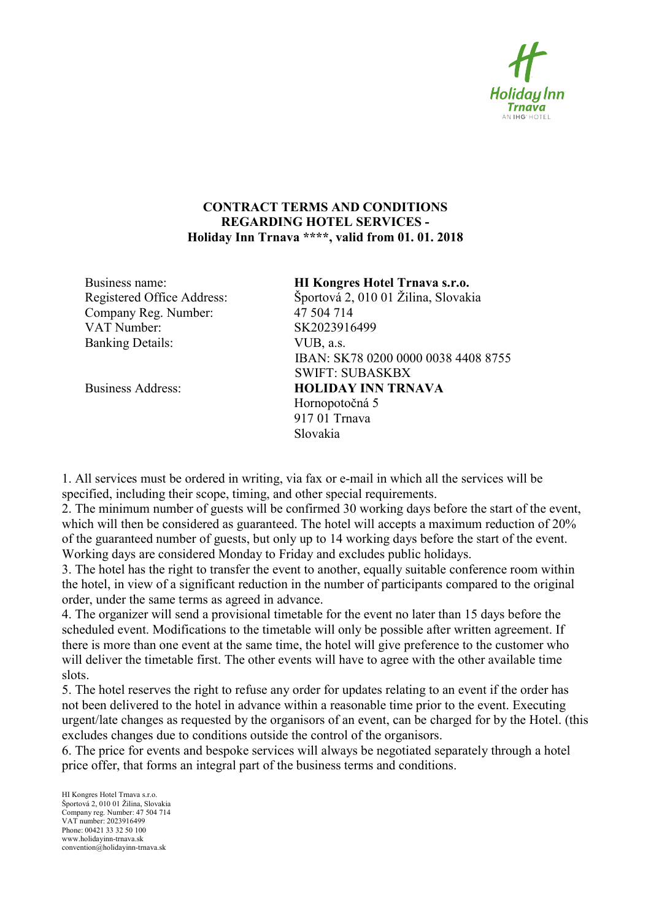

## CONTRACT TERMS AND CONDITIONS REGARDING HOTEL SERVICES - Holiday Inn Trnava \*\*\*\*, valid from 01. 01. 2018

 Company Reg. Number: 47 504 714 VAT Number: SK2023916499 Banking Details: VUB, a.s.

Business name: HI Kongres Hotel Trnava s.r.o. Registered Office Address: Športová 2, 010 01 Žilina, Slovakia IBAN: SK78 0200 0000 0038 4408 8755 SWIFT: SUBASKBX Business Address: **HOLIDAY INN TRNAVA**  Hornopotočná 5 917 01 Trnava Slovakia

1. All services must be ordered in writing, via fax or e-mail in which all the services will be specified, including their scope, timing, and other special requirements.

2. The minimum number of guests will be confirmed 30 working days before the start of the event, which will then be considered as guaranteed. The hotel will accepts a maximum reduction of 20% of the guaranteed number of guests, but only up to 14 working days before the start of the event. Working days are considered Monday to Friday and excludes public holidays.

3. The hotel has the right to transfer the event to another, equally suitable conference room within the hotel, in view of a significant reduction in the number of participants compared to the original order, under the same terms as agreed in advance.

4. The organizer will send a provisional timetable for the event no later than 15 days before the scheduled event. Modifications to the timetable will only be possible after written agreement. If there is more than one event at the same time, the hotel will give preference to the customer who will deliver the timetable first. The other events will have to agree with the other available time slots.

5. The hotel reserves the right to refuse any order for updates relating to an event if the order has not been delivered to the hotel in advance within a reasonable time prior to the event. Executing urgent/late changes as requested by the organisors of an event, can be charged for by the Hotel. (this excludes changes due to conditions outside the control of the organisors.

6. The price for events and bespoke services will always be negotiated separately through a hotel price offer, that forms an integral part of the business terms and conditions.

HI Kongres Hotel Trnava s.r.o. Športová 2, 010 01 Žilina, Slovakia Company reg. Number: 47 504 714 VAT number: 2023916499 Phone: 00421 33 32 50 100 www.holidayinn-trnava.sk convention@holidayinn-trnava.sk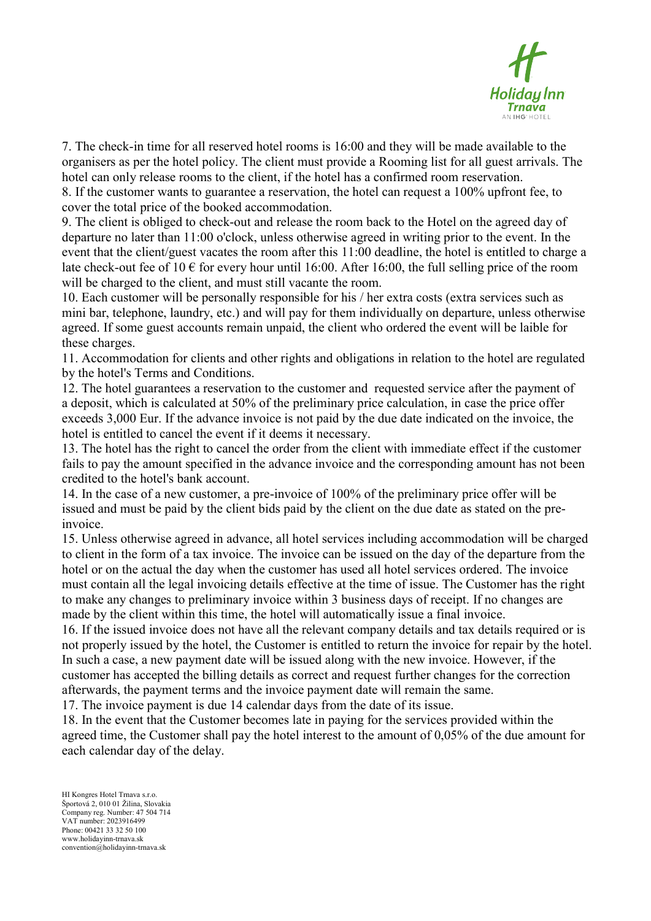

7. The check-in time for all reserved hotel rooms is 16:00 and they will be made available to the organisers as per the hotel policy. The client must provide a Rooming list for all guest arrivals. The hotel can only release rooms to the client, if the hotel has a confirmed room reservation.

8. If the customer wants to guarantee a reservation, the hotel can request a 100% upfront fee, to cover the total price of the booked accommodation.

9. The client is obliged to check-out and release the room back to the Hotel on the agreed day of departure no later than 11:00 o'clock, unless otherwise agreed in writing prior to the event. In the event that the client/guest vacates the room after this 11:00 deadline, the hotel is entitled to charge a late check-out fee of 10  $\epsilon$  for every hour until 16:00. After 16:00, the full selling price of the room will be charged to the client, and must still vacante the room.

10. Each customer will be personally responsible for his / her extra costs (extra services such as mini bar, telephone, laundry, etc.) and will pay for them individually on departure, unless otherwise agreed. If some guest accounts remain unpaid, the client who ordered the event will be laible for these charges.

11. Accommodation for clients and other rights and obligations in relation to the hotel are regulated by the hotel's Terms and Conditions.

12. The hotel guarantees a reservation to the customer and requested service after the payment of a deposit, which is calculated at 50% of the preliminary price calculation, in case the price offer exceeds 3,000 Eur. If the advance invoice is not paid by the due date indicated on the invoice, the hotel is entitled to cancel the event if it deems it necessary.

13. The hotel has the right to cancel the order from the client with immediate effect if the customer fails to pay the amount specified in the advance invoice and the corresponding amount has not been credited to the hotel's bank account.

14. In the case of a new customer, a pre-invoice of 100% of the preliminary price offer will be issued and must be paid by the client bids paid by the client on the due date as stated on the preinvoice.

15. Unless otherwise agreed in advance, all hotel services including accommodation will be charged to client in the form of a tax invoice. The invoice can be issued on the day of the departure from the hotel or on the actual the day when the customer has used all hotel services ordered. The invoice must contain all the legal invoicing details effective at the time of issue. The Customer has the right to make any changes to preliminary invoice within 3 business days of receipt. If no changes are made by the client within this time, the hotel will automatically issue a final invoice.

16. If the issued invoice does not have all the relevant company details and tax details required or is not properly issued by the hotel, the Customer is entitled to return the invoice for repair by the hotel. In such a case, a new payment date will be issued along with the new invoice. However, if the customer has accepted the billing details as correct and request further changes for the correction afterwards, the payment terms and the invoice payment date will remain the same.

17. The invoice payment is due 14 calendar days from the date of its issue.

18. In the event that the Customer becomes late in paying for the services provided within the agreed time, the Customer shall pay the hotel interest to the amount of 0,05% of the due amount for each calendar day of the delay.

HI Kongres Hotel Trnava s.r.o. Športová 2, 010 01 Žilina, Slovakia Company reg. Number: 47 504 714 VAT number: 2023916499 Phone: 00421 33 32 50 100 www.holidayinn-trnava.sk convention@holidayinn-trnava.sk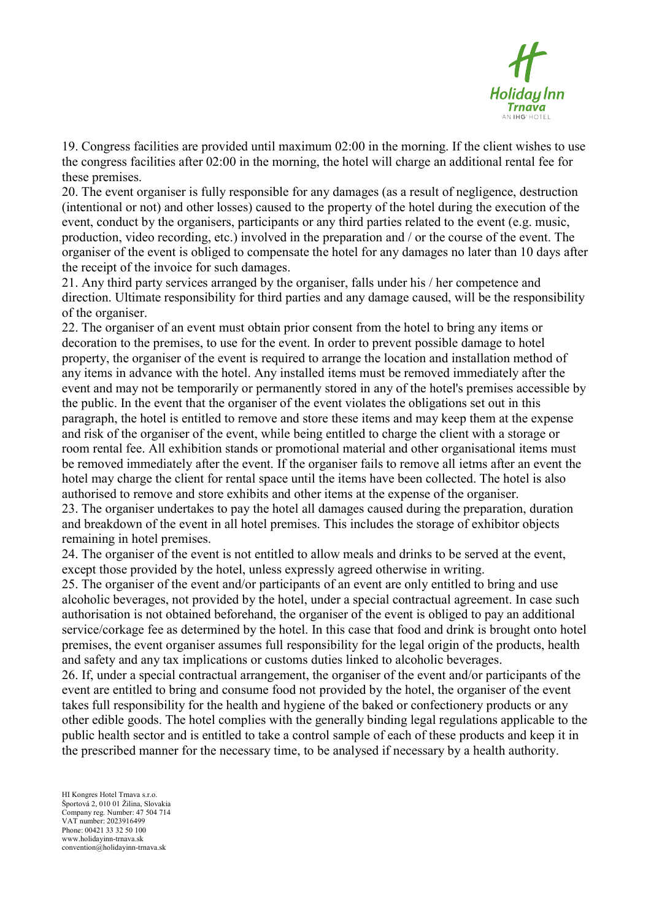

19. Congress facilities are provided until maximum 02:00 in the morning. If the client wishes to use the congress facilities after 02:00 in the morning, the hotel will charge an additional rental fee for these premises.

20. The event organiser is fully responsible for any damages (as a result of negligence, destruction (intentional or not) and other losses) caused to the property of the hotel during the execution of the event, conduct by the organisers, participants or any third parties related to the event (e.g. music, production, video recording, etc.) involved in the preparation and / or the course of the event. The organiser of the event is obliged to compensate the hotel for any damages no later than 10 days after the receipt of the invoice for such damages.

21. Any third party services arranged by the organiser, falls under his / her competence and direction. Ultimate responsibility for third parties and any damage caused, will be the responsibility of the organiser.

22. The organiser of an event must obtain prior consent from the hotel to bring any items or decoration to the premises, to use for the event. In order to prevent possible damage to hotel property, the organiser of the event is required to arrange the location and installation method of any items in advance with the hotel. Any installed items must be removed immediately after the event and may not be temporarily or permanently stored in any of the hotel's premises accessible by the public. In the event that the organiser of the event violates the obligations set out in this paragraph, the hotel is entitled to remove and store these items and may keep them at the expense and risk of the organiser of the event, while being entitled to charge the client with a storage or room rental fee. All exhibition stands or promotional material and other organisational items must be removed immediately after the event. If the organiser fails to remove all ietms after an event the hotel may charge the client for rental space until the items have been collected. The hotel is also authorised to remove and store exhibits and other items at the expense of the organiser.

23. The organiser undertakes to pay the hotel all damages caused during the preparation, duration and breakdown of the event in all hotel premises. This includes the storage of exhibitor objects remaining in hotel premises.

24. The organiser of the event is not entitled to allow meals and drinks to be served at the event, except those provided by the hotel, unless expressly agreed otherwise in writing.

25. The organiser of the event and/or participants of an event are only entitled to bring and use alcoholic beverages, not provided by the hotel, under a special contractual agreement. In case such authorisation is not obtained beforehand, the organiser of the event is obliged to pay an additional service/corkage fee as determined by the hotel. In this case that food and drink is brought onto hotel premises, the event organiser assumes full responsibility for the legal origin of the products, health and safety and any tax implications or customs duties linked to alcoholic beverages.

26. If, under a special contractual arrangement, the organiser of the event and/or participants of the event are entitled to bring and consume food not provided by the hotel, the organiser of the event takes full responsibility for the health and hygiene of the baked or confectionery products or any other edible goods. The hotel complies with the generally binding legal regulations applicable to the public health sector and is entitled to take a control sample of each of these products and keep it in the prescribed manner for the necessary time, to be analysed if necessary by a health authority.

HI Kongres Hotel Trnava s.r.o. Športová 2, 010 01 Žilina, Slovakia Company reg. Number: 47 504 714 VAT number: 2023916499 Phone: 00421 33 32 50 100 www.holidayinn-trnava.sk convention@holidayinn-trnava.sk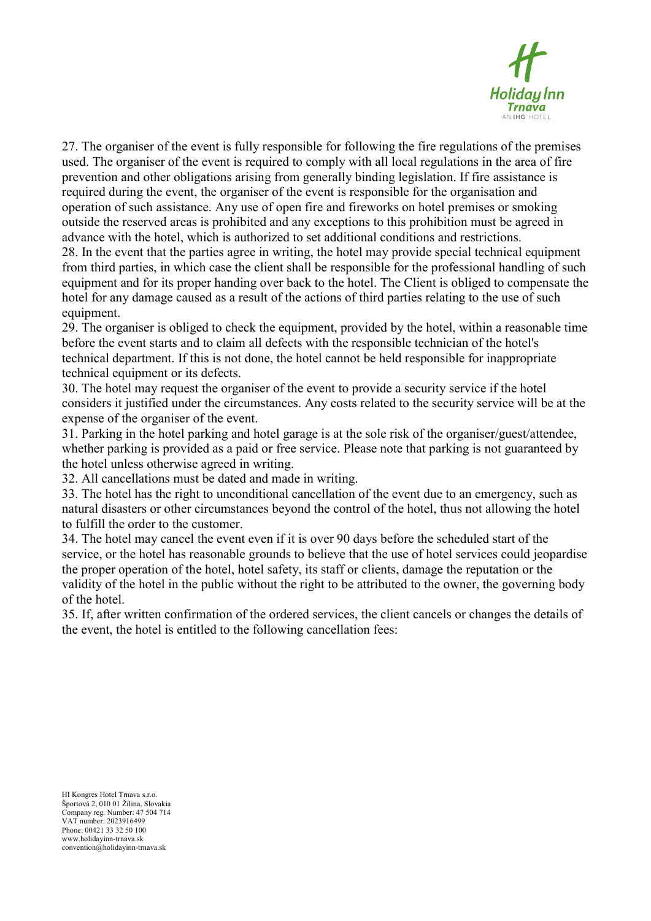

27. The organiser of the event is fully responsible for following the fire regulations of the premises used. The organiser of the event is required to comply with all local regulations in the area of fire prevention and other obligations arising from generally binding legislation. If fire assistance is required during the event, the organiser of the event is responsible for the organisation and operation of such assistance. Any use of open fire and fireworks on hotel premises or smoking outside the reserved areas is prohibited and any exceptions to this prohibition must be agreed in advance with the hotel, which is authorized to set additional conditions and restrictions. 28. In the event that the parties agree in writing, the hotel may provide special technical equipment from third parties, in which case the client shall be responsible for the professional handling of such equipment and for its proper handing over back to the hotel. The Client is obliged to compensate the hotel for any damage caused as a result of the actions of third parties relating to the use of such equipment.

29. The organiser is obliged to check the equipment, provided by the hotel, within a reasonable time before the event starts and to claim all defects with the responsible technician of the hotel's technical department. If this is not done, the hotel cannot be held responsible for inappropriate technical equipment or its defects.

30. The hotel may request the organiser of the event to provide a security service if the hotel considers it justified under the circumstances. Any costs related to the security service will be at the expense of the organiser of the event.

31. Parking in the hotel parking and hotel garage is at the sole risk of the organiser/guest/attendee, whether parking is provided as a paid or free service. Please note that parking is not guaranteed by the hotel unless otherwise agreed in writing.

32. All cancellations must be dated and made in writing.

33. The hotel has the right to unconditional cancellation of the event due to an emergency, such as natural disasters or other circumstances beyond the control of the hotel, thus not allowing the hotel to fulfill the order to the customer.

34. The hotel may cancel the event even if it is over 90 days before the scheduled start of the service, or the hotel has reasonable grounds to believe that the use of hotel services could jeopardise the proper operation of the hotel, hotel safety, its staff or clients, damage the reputation or the validity of the hotel in the public without the right to be attributed to the owner, the governing body of the hotel.

35. If, after written confirmation of the ordered services, the client cancels or changes the details of the event, the hotel is entitled to the following cancellation fees: